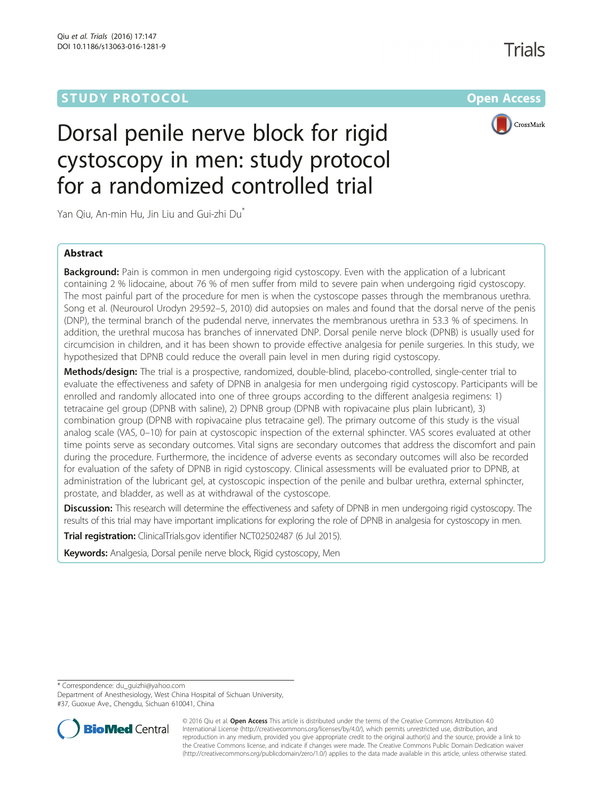# **STUDY PROTOCOL CONSUMING THE RESERVE ACCESS**



# Dorsal penile nerve block for rigid cystoscopy in men: study protocol for a randomized controlled trial

Yan Qiu, An-min Hu, Jin Liu and Gui-zhi Du<sup>\*</sup>

# Abstract

**Background:** Pain is common in men undergoing rigid cystoscopy. Even with the application of a lubricant containing 2 % lidocaine, about 76 % of men suffer from mild to severe pain when undergoing rigid cystoscopy. The most painful part of the procedure for men is when the cystoscope passes through the membranous urethra. Song et al. (Neurourol Urodyn 29:592–5, 2010) did autopsies on males and found that the dorsal nerve of the penis (DNP), the terminal branch of the pudendal nerve, innervates the membranous urethra in 53.3 % of specimens. In addition, the urethral mucosa has branches of innervated DNP. Dorsal penile nerve block (DPNB) is usually used for circumcision in children, and it has been shown to provide effective analgesia for penile surgeries. In this study, we hypothesized that DPNB could reduce the overall pain level in men during rigid cystoscopy.

Methods/design: The trial is a prospective, randomized, double-blind, placebo-controlled, single-center trial to evaluate the effectiveness and safety of DPNB in analgesia for men undergoing rigid cystoscopy. Participants will be enrolled and randomly allocated into one of three groups according to the different analgesia regimens: 1) tetracaine gel group (DPNB with saline), 2) DPNB group (DPNB with ropivacaine plus plain lubricant), 3) combination group (DPNB with ropivacaine plus tetracaine gel). The primary outcome of this study is the visual analog scale (VAS, 0–10) for pain at cystoscopic inspection of the external sphincter. VAS scores evaluated at other time points serve as secondary outcomes. Vital signs are secondary outcomes that address the discomfort and pain during the procedure. Furthermore, the incidence of adverse events as secondary outcomes will also be recorded for evaluation of the safety of DPNB in rigid cystoscopy. Clinical assessments will be evaluated prior to DPNB, at administration of the lubricant gel, at cystoscopic inspection of the penile and bulbar urethra, external sphincter, prostate, and bladder, as well as at withdrawal of the cystoscope.

**Discussion:** This research will determine the effectiveness and safety of DPNB in men undergoing rigid cystoscopy. The results of this trial may have important implications for exploring the role of DPNB in analgesia for cystoscopy in men.

Trial registration: ClinicalTrials.gov identifier [NCT02502487](https://clinicaltrials.gov/ct2/show/NCT02502487) (6 Jul 2015).

Keywords: Analgesia, Dorsal penile nerve block, Rigid cystoscopy, Men

\* Correspondence: [du\\_guizhi@yahoo.com](mailto:du_guizhi@yahoo.com)

Department of Anesthesiology, West China Hospital of Sichuan University, #37, Guoxue Ave., Chengdu, Sichuan 610041, China



© 2016 Oiu et al. Open Access This article is distributed under the terms of the Creative Commons Attribution 4.0 International License [\(http://creativecommons.org/licenses/by/4.0/](http://creativecommons.org/licenses/by/4.0/)), which permits unrestricted use, distribution, and reproduction in any medium, provided you give appropriate credit to the original author(s) and the source, provide a link to the Creative Commons license, and indicate if changes were made. The Creative Commons Public Domain Dedication waiver [\(http://creativecommons.org/publicdomain/zero/1.0/](http://creativecommons.org/publicdomain/zero/1.0/)) applies to the data made available in this article, unless otherwise stated.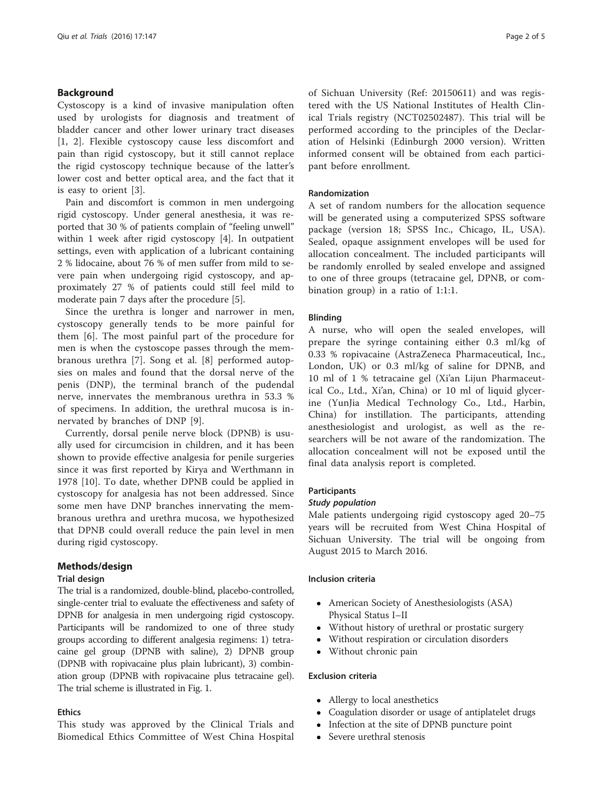# Background

Cystoscopy is a kind of invasive manipulation often used by urologists for diagnosis and treatment of bladder cancer and other lower urinary tract diseases [[1, 2\]](#page-4-0). Flexible cystoscopy cause less discomfort and pain than rigid cystoscopy, but it still cannot replace the rigid cystoscopy technique because of the latter's lower cost and better optical area, and the fact that it is easy to orient [[3\]](#page-4-0).

Pain and discomfort is common in men undergoing rigid cystoscopy. Under general anesthesia, it was reported that 30 % of patients complain of "feeling unwell" within 1 week after rigid cystoscopy [\[4](#page-4-0)]. In outpatient settings, even with application of a lubricant containing 2 % lidocaine, about 76 % of men suffer from mild to severe pain when undergoing rigid cystoscopy, and approximately 27 % of patients could still feel mild to moderate pain 7 days after the procedure [\[5](#page-4-0)].

Since the urethra is longer and narrower in men, cystoscopy generally tends to be more painful for them [[6\]](#page-4-0). The most painful part of the procedure for men is when the cystoscope passes through the membranous urethra [[7](#page-4-0)]. Song et al. [[8](#page-4-0)] performed autopsies on males and found that the dorsal nerve of the penis (DNP), the terminal branch of the pudendal nerve, innervates the membranous urethra in 53.3 % of specimens. In addition, the urethral mucosa is innervated by branches of DNP [\[9](#page-4-0)].

Currently, dorsal penile nerve block (DPNB) is usually used for circumcision in children, and it has been shown to provide effective analgesia for penile surgeries since it was first reported by Kirya and Werthmann in 1978 [[10\]](#page-4-0). To date, whether DPNB could be applied in cystoscopy for analgesia has not been addressed. Since some men have DNP branches innervating the membranous urethra and urethra mucosa, we hypothesized that DPNB could overall reduce the pain level in men during rigid cystoscopy.

# Methods/design

# Trial design

The trial is a randomized, double-blind, placebo-controlled, single-center trial to evaluate the effectiveness and safety of DPNB for analgesia in men undergoing rigid cystoscopy. Participants will be randomized to one of three study groups according to different analgesia regimens: 1) tetracaine gel group (DPNB with saline), 2) DPNB group (DPNB with ropivacaine plus plain lubricant), 3) combination group (DPNB with ropivacaine plus tetracaine gel). The trial scheme is illustrated in Fig. [1.](#page-2-0)

# Ethics

This study was approved by the Clinical Trials and Biomedical Ethics Committee of West China Hospital of Sichuan University (Ref: 20150611) and was registered with the US National Institutes of Health Clinical Trials registry (NCT02502487). This trial will be performed according to the principles of the Declaration of Helsinki (Edinburgh 2000 version). Written informed consent will be obtained from each participant before enrollment.

# Randomization

A set of random numbers for the allocation sequence will be generated using a computerized SPSS software package (version 18; SPSS Inc., Chicago, IL, USA). Sealed, opaque assignment envelopes will be used for allocation concealment. The included participants will be randomly enrolled by sealed envelope and assigned to one of three groups (tetracaine gel, DPNB, or combination group) in a ratio of 1:1:1.

# Blinding

A nurse, who will open the sealed envelopes, will prepare the syringe containing either 0.3 ml/kg of 0.33 % ropivacaine (AstraZeneca Pharmaceutical, Inc., London, UK) or 0.3 ml/kg of saline for DPNB, and 10 ml of 1 % tetracaine gel (Xi'an Lijun Pharmaceutical Co., Ltd., Xi'an, China) or 10 ml of liquid glycerine (YunJia Medical Technology Co., Ltd., Harbin, China) for instillation. The participants, attending anesthesiologist and urologist, as well as the researchers will be not aware of the randomization. The allocation concealment will not be exposed until the final data analysis report is completed.

# Participants

# Study population

Male patients undergoing rigid cystoscopy aged 20–75 years will be recruited from West China Hospital of Sichuan University. The trial will be ongoing from August 2015 to March 2016.

# Inclusion criteria

- American Society of Anesthesiologists (ASA) Physical Status I–II
- Without history of urethral or prostatic surgery
- Without respiration or circulation disorders
- Without chronic pain

# Exclusion criteria

- Allergy to local anesthetics
- Coagulation disorder or usage of antiplatelet drugs
- Infection at the site of DPNB puncture point
- Severe urethral stenosis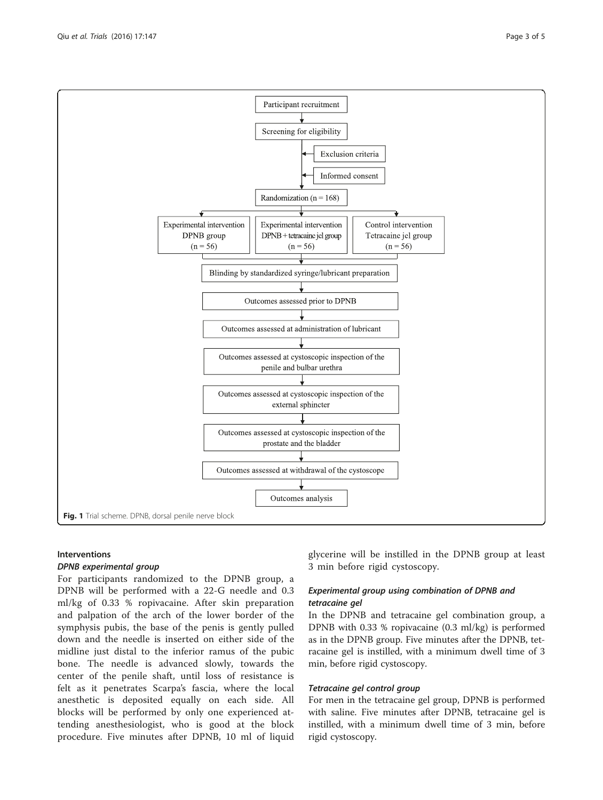<span id="page-2-0"></span>Qiu et al. Trials (2016) 17:147 Page 3 of 5



# Interventions

# DPNB experimental group

For participants randomized to the DPNB group, a DPNB will be performed with a 22-G needle and 0.3 ml/kg of 0.33 % ropivacaine. After skin preparation and palpation of the arch of the lower border of the symphysis pubis, the base of the penis is gently pulled down and the needle is inserted on either side of the midline just distal to the inferior ramus of the pubic bone. The needle is advanced slowly, towards the center of the penile shaft, until loss of resistance is felt as it penetrates Scarpa's fascia, where the local anesthetic is deposited equally on each side. All blocks will be performed by only one experienced attending anesthesiologist, who is good at the block procedure. Five minutes after DPNB, 10 ml of liquid

glycerine will be instilled in the DPNB group at least 3 min before rigid cystoscopy.

# Experimental group using combination of DPNB and tetracaine gel

In the DPNB and tetracaine gel combination group, a DPNB with 0.33 % ropivacaine (0.3 ml/kg) is performed as in the DPNB group. Five minutes after the DPNB, tetracaine gel is instilled, with a minimum dwell time of 3 min, before rigid cystoscopy.

# Tetracaine gel control group

For men in the tetracaine gel group, DPNB is performed with saline. Five minutes after DPNB, tetracaine gel is instilled, with a minimum dwell time of 3 min, before rigid cystoscopy.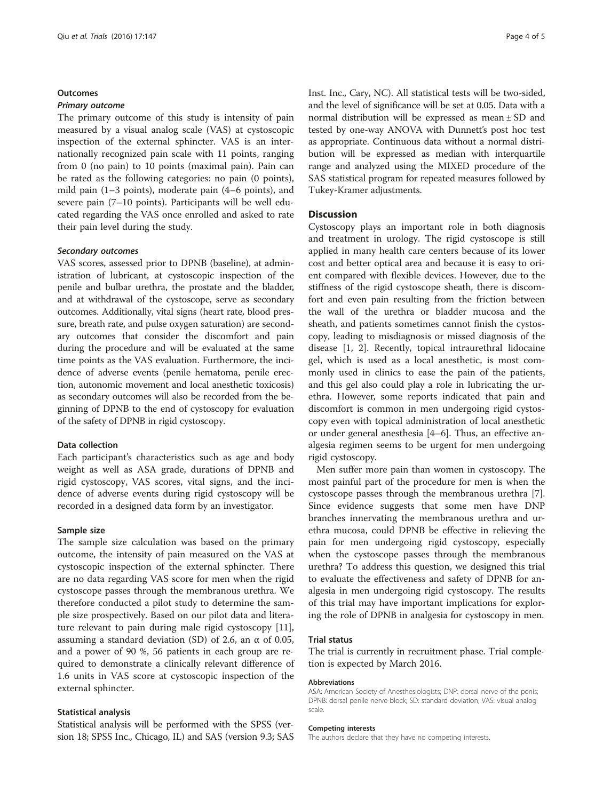# **Outcomes**

#### Primary outcome

The primary outcome of this study is intensity of pain measured by a visual analog scale (VAS) at cystoscopic inspection of the external sphincter. VAS is an internationally recognized pain scale with 11 points, ranging from 0 (no pain) to 10 points (maximal pain). Pain can be rated as the following categories: no pain (0 points), mild pain (1–3 points), moderate pain (4–6 points), and severe pain (7–10 points). Participants will be well educated regarding the VAS once enrolled and asked to rate their pain level during the study.

#### Secondary outcomes

VAS scores, assessed prior to DPNB (baseline), at administration of lubricant, at cystoscopic inspection of the penile and bulbar urethra, the prostate and the bladder, and at withdrawal of the cystoscope, serve as secondary outcomes. Additionally, vital signs (heart rate, blood pressure, breath rate, and pulse oxygen saturation) are secondary outcomes that consider the discomfort and pain during the procedure and will be evaluated at the same time points as the VAS evaluation. Furthermore, the incidence of adverse events (penile hematoma, penile erection, autonomic movement and local anesthetic toxicosis) as secondary outcomes will also be recorded from the beginning of DPNB to the end of cystoscopy for evaluation of the safety of DPNB in rigid cystoscopy.

#### Data collection

Each participant's characteristics such as age and body weight as well as ASA grade, durations of DPNB and rigid cystoscopy, VAS scores, vital signs, and the incidence of adverse events during rigid cystoscopy will be recorded in a designed data form by an investigator.

#### Sample size

The sample size calculation was based on the primary outcome, the intensity of pain measured on the VAS at cystoscopic inspection of the external sphincter. There are no data regarding VAS score for men when the rigid cystoscope passes through the membranous urethra. We therefore conducted a pilot study to determine the sample size prospectively. Based on our pilot data and literature relevant to pain during male rigid cystoscopy [\[11](#page-4-0)], assuming a standard deviation (SD) of 2.6, an α of 0.05, and a power of 90 %, 56 patients in each group are required to demonstrate a clinically relevant difference of 1.6 units in VAS score at cystoscopic inspection of the external sphincter.

## Statistical analysis

Statistical analysis will be performed with the SPSS (version 18; SPSS Inc., Chicago, IL) and SAS (version 9.3; SAS Inst. Inc., Cary, NC). All statistical tests will be two-sided, and the level of significance will be set at 0.05. Data with a normal distribution will be expressed as mean ± SD and tested by one-way ANOVA with Dunnett's post hoc test as appropriate. Continuous data without a normal distribution will be expressed as median with interquartile range and analyzed using the MIXED procedure of the SAS statistical program for repeated measures followed by Tukey-Kramer adjustments.

# **Discussion**

Cystoscopy plays an important role in both diagnosis and treatment in urology. The rigid cystoscope is still applied in many health care centers because of its lower cost and better optical area and because it is easy to orient compared with flexible devices. However, due to the stiffness of the rigid cystoscope sheath, there is discomfort and even pain resulting from the friction between the wall of the urethra or bladder mucosa and the sheath, and patients sometimes cannot finish the cystoscopy, leading to misdiagnosis or missed diagnosis of the disease [[1, 2](#page-4-0)]. Recently, topical intraurethral lidocaine gel, which is used as a local anesthetic, is most commonly used in clinics to ease the pain of the patients, and this gel also could play a role in lubricating the urethra. However, some reports indicated that pain and discomfort is common in men undergoing rigid cystoscopy even with topical administration of local anesthetic or under general anesthesia [[4](#page-4-0)–[6](#page-4-0)]. Thus, an effective analgesia regimen seems to be urgent for men undergoing rigid cystoscopy.

Men suffer more pain than women in cystoscopy. The most painful part of the procedure for men is when the cystoscope passes through the membranous urethra [\[7](#page-4-0)]. Since evidence suggests that some men have DNP branches innervating the membranous urethra and urethra mucosa, could DPNB be effective in relieving the pain for men undergoing rigid cystoscopy, especially when the cystoscope passes through the membranous urethra? To address this question, we designed this trial to evaluate the effectiveness and safety of DPNB for analgesia in men undergoing rigid cystoscopy. The results of this trial may have important implications for exploring the role of DPNB in analgesia for cystoscopy in men.

# Trial status

The trial is currently in recruitment phase. Trial completion is expected by March 2016.

#### Abbreviations

ASA: American Society of Anesthesiologists; DNP: dorsal nerve of the penis; DPNB: dorsal penile nerve block; SD: standard deviation; VAS: visual analog scale.

#### Competing interests

The authors declare that they have no competing interests.